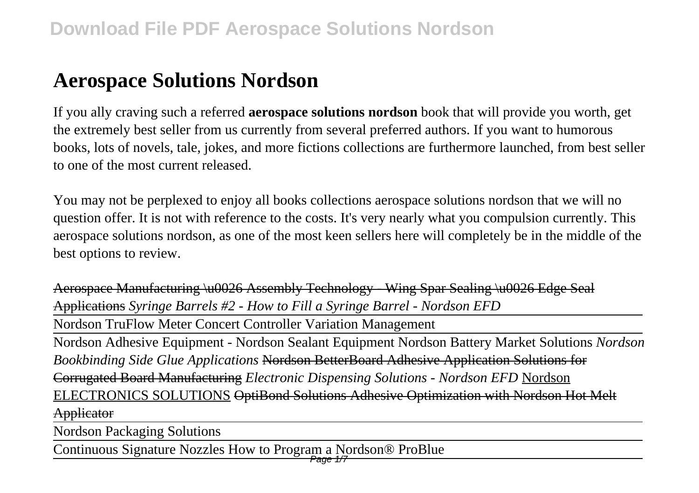# **Aerospace Solutions Nordson**

If you ally craving such a referred **aerospace solutions nordson** book that will provide you worth, get the extremely best seller from us currently from several preferred authors. If you want to humorous books, lots of novels, tale, jokes, and more fictions collections are furthermore launched, from best seller to one of the most current released.

You may not be perplexed to enjoy all books collections aerospace solutions nordson that we will no question offer. It is not with reference to the costs. It's very nearly what you compulsion currently. This aerospace solutions nordson, as one of the most keen sellers here will completely be in the middle of the best options to review.

Aerospace Manufacturing \u0026 Assembly Technology - Wing Spar Sealing \u0026 Edge Seal Applications *Syringe Barrels #2 - How to Fill a Syringe Barrel - Nordson EFD*

Nordson TruFlow Meter Concert Controller Variation Management

Nordson Adhesive Equipment - Nordson Sealant Equipment Nordson Battery Market Solutions *Nordson Bookbinding Side Glue Applications* Nordson BetterBoard Adhesive Application Solutions for Corrugated Board Manufacturing *Electronic Dispensing Solutions - Nordson EFD* Nordson ELECTRONICS SOLUTIONS OptiBond Solutions Adhesive Optimization with Nordson Hot Melt **Applicator** 

Nordson Packaging Solutions

Continuous Signature Nozzles How to Program a Nordson® ProBlue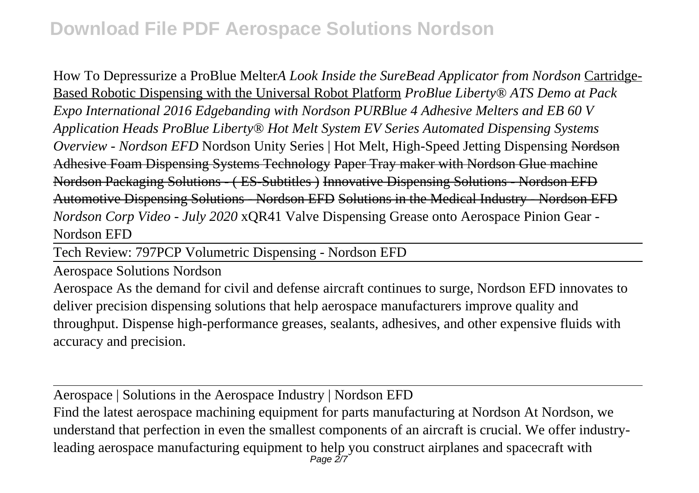# **Download File PDF Aerospace Solutions Nordson**

How To Depressurize a ProBlue Melter*A Look Inside the SureBead Applicator from Nordson* Cartridge-Based Robotic Dispensing with the Universal Robot Platform *ProBlue Liberty® ATS Demo at Pack Expo International 2016 Edgebanding with Nordson PURBlue 4 Adhesive Melters and EB 60 V Application Heads ProBlue Liberty® Hot Melt System EV Series Automated Dispensing Systems Overview - Nordson EFD* Nordson Unity Series | Hot Melt, High-Speed Jetting Dispensing Nordson Adhesive Foam Dispensing Systems Technology Paper Tray maker with Nordson Glue machine Nordson Packaging Solutions - ( ES-Subtitles ) Innovative Dispensing Solutions - Nordson EFD Automotive Dispensing Solutions - Nordson EFD Solutions in the Medical Industry - Nordson EFD *Nordson Corp Video - July 2020* xQR41 Valve Dispensing Grease onto Aerospace Pinion Gear - Nordson EFD

Tech Review: 797PCP Volumetric Dispensing - Nordson EFD

Aerospace Solutions Nordson

Aerospace As the demand for civil and defense aircraft continues to surge, Nordson EFD innovates to deliver precision dispensing solutions that help aerospace manufacturers improve quality and throughput. Dispense high-performance greases, sealants, adhesives, and other expensive fluids with accuracy and precision.

Aerospace | Solutions in the Aerospace Industry | Nordson EFD Find the latest aerospace machining equipment for parts manufacturing at Nordson At Nordson, we understand that perfection in even the smallest components of an aircraft is crucial. We offer industryleading aerospace manufacturing equipment to help you construct airplanes and spacecraft with<br>Page 2/7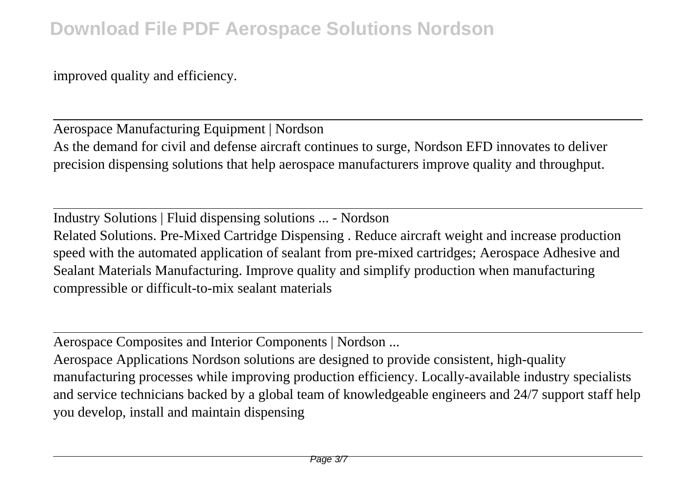improved quality and efficiency.

Aerospace Manufacturing Equipment | Nordson As the demand for civil and defense aircraft continues to surge, Nordson EFD innovates to deliver precision dispensing solutions that help aerospace manufacturers improve quality and throughput.

Industry Solutions | Fluid dispensing solutions ... - Nordson Related Solutions. Pre-Mixed Cartridge Dispensing . Reduce aircraft weight and increase production speed with the automated application of sealant from pre-mixed cartridges; Aerospace Adhesive and Sealant Materials Manufacturing. Improve quality and simplify production when manufacturing compressible or difficult-to-mix sealant materials

Aerospace Composites and Interior Components | Nordson ...

Aerospace Applications Nordson solutions are designed to provide consistent, high-quality manufacturing processes while improving production efficiency. Locally-available industry specialists and service technicians backed by a global team of knowledgeable engineers and 24/7 support staff help you develop, install and maintain dispensing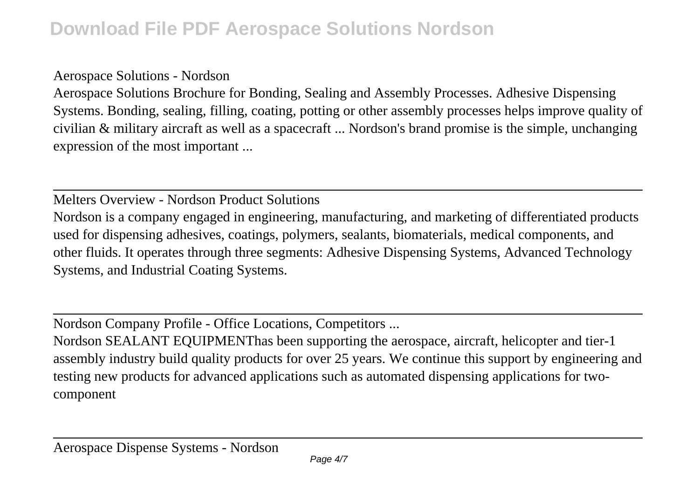#### Aerospace Solutions - Nordson

Aerospace Solutions Brochure for Bonding, Sealing and Assembly Processes. Adhesive Dispensing Systems. Bonding, sealing, filling, coating, potting or other assembly processes helps improve quality of civilian & military aircraft as well as a spacecraft ... Nordson's brand promise is the simple, unchanging expression of the most important ...

Melters Overview - Nordson Product Solutions

Nordson is a company engaged in engineering, manufacturing, and marketing of differentiated products used for dispensing adhesives, coatings, polymers, sealants, biomaterials, medical components, and other fluids. It operates through three segments: Adhesive Dispensing Systems, Advanced Technology Systems, and Industrial Coating Systems.

Nordson Company Profile - Office Locations, Competitors ...

Nordson SEALANT EQUIPMENThas been supporting the aerospace, aircraft, helicopter and tier-1 assembly industry build quality products for over 25 years. We continue this support by engineering and testing new products for advanced applications such as automated dispensing applications for twocomponent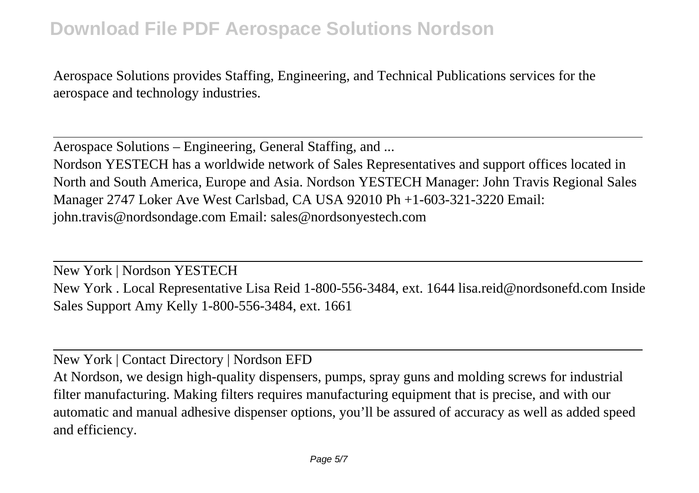### **Download File PDF Aerospace Solutions Nordson**

Aerospace Solutions provides Staffing, Engineering, and Technical Publications services for the aerospace and technology industries.

Aerospace Solutions – Engineering, General Staffing, and ...

Nordson YESTECH has a worldwide network of Sales Representatives and support offices located in North and South America, Europe and Asia. Nordson YESTECH Manager: John Travis Regional Sales Manager 2747 Loker Ave West Carlsbad, CA USA 92010 Ph +1-603-321-3220 Email: john.travis@nordsondage.com Email: sales@nordsonyestech.com

New York | Nordson YESTECH New York . Local Representative Lisa Reid 1-800-556-3484, ext. 1644 lisa.reid@nordsonefd.com Inside Sales Support Amy Kelly 1-800-556-3484, ext. 1661

New York | Contact Directory | Nordson EFD

At Nordson, we design high-quality dispensers, pumps, spray guns and molding screws for industrial filter manufacturing. Making filters requires manufacturing equipment that is precise, and with our automatic and manual adhesive dispenser options, you'll be assured of accuracy as well as added speed and efficiency.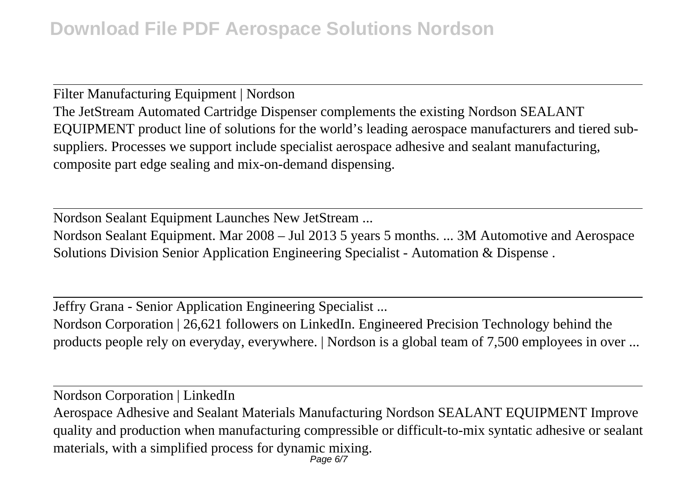Filter Manufacturing Equipment | Nordson The JetStream Automated Cartridge Dispenser complements the existing Nordson SEALANT EQUIPMENT product line of solutions for the world's leading aerospace manufacturers and tiered subsuppliers. Processes we support include specialist aerospace adhesive and sealant manufacturing, composite part edge sealing and mix-on-demand dispensing.

Nordson Sealant Equipment Launches New JetStream ... Nordson Sealant Equipment. Mar 2008 – Jul 2013 5 years 5 months. ... 3M Automotive and Aerospace Solutions Division Senior Application Engineering Specialist - Automation & Dispense .

Jeffry Grana - Senior Application Engineering Specialist ... Nordson Corporation | 26,621 followers on LinkedIn. Engineered Precision Technology behind the products people rely on everyday, everywhere. | Nordson is a global team of 7,500 employees in over ...

Nordson Corporation | LinkedIn Aerospace Adhesive and Sealant Materials Manufacturing Nordson SEALANT EQUIPMENT Improve quality and production when manufacturing compressible or difficult-to-mix syntatic adhesive or sealant materials, with a simplified process for dynamic mixing. Page 6/7